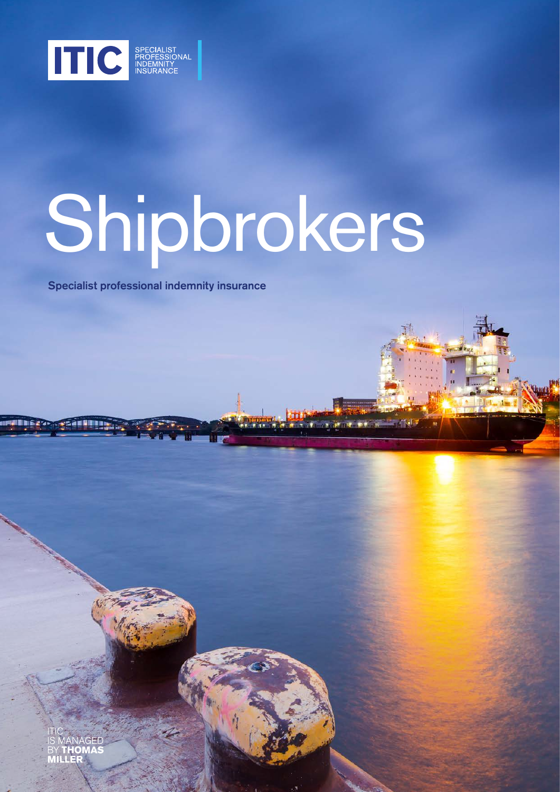

# Shipbrokers

Specialist professional indemnity insurance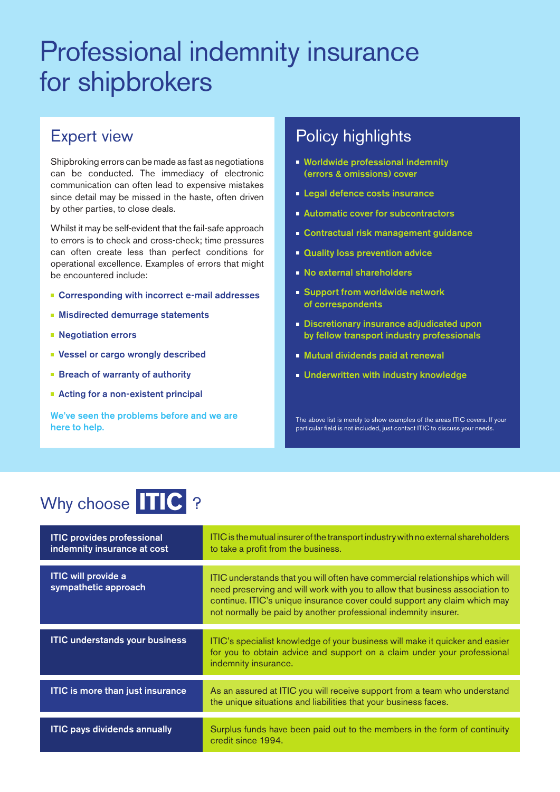## Professional indemnity insurance for shipbrokers

#### Expert view

Shipbroking errors can be made as fast as negotiations can be conducted. The immediacy of electronic communication can often lead to expensive mistakes since detail may be missed in the haste, often driven by other parties, to close deals.

Whilst it may be self-evident that the fail-safe approach to errors is to check and cross-check; time pressures can often create less than perfect conditions for operational excellence. Examples of errors that might be encountered include:

- Corresponding with incorrect e-mail addresses
- **Misdirected demurrage statements**
- **Negotiation errors**
- Vessel or cargo wrongly described
- **Breach of warranty of authority**
- Acting for a non-existent principal

We've seen the problems before and we are here to help.

#### Policy highlights

- **Worldwide professional indemnity** (errors & omissions) cover
- **Legal defence costs insurance**
- **Automatic cover for subcontractors**
- **Contractual risk management guidance**
- **Quality loss prevention advice**
- **No external shareholders**
- **Support from worldwide network** of correspondents
- **Discretionary insurance adjudicated upon** by fellow transport industry professionals
- **Mutual dividends paid at renewal**
- **Underwritten with industry knowledge**

The above list is merely to show examples of the areas ITIC covers. If your particular field is not included, just contact ITIC to discuss your needs.

### Why choose **TIC** ?

| <b>ITIC provides professional</b><br>indemnity insurance at cost | ITIC is the mutual insurer of the transport industry with no external shareholders<br>to take a profit from the business.                                                                                                                                                                                     |
|------------------------------------------------------------------|---------------------------------------------------------------------------------------------------------------------------------------------------------------------------------------------------------------------------------------------------------------------------------------------------------------|
| <b>ITIC will provide a</b><br>sympathetic approach               | ITIC understands that you will often have commercial relationships which will<br>need preserving and will work with you to allow that business association to<br>continue. ITIC's unique insurance cover could support any claim which may<br>not normally be paid by another professional indemnity insurer. |
| <b>ITIC understands your business</b>                            | ITIC's specialist knowledge of your business will make it quicker and easier<br>for you to obtain advice and support on a claim under your professional<br>indemnity insurance.                                                                                                                               |
| <b>ITIC is more than just insurance</b>                          | As an assured at ITIC you will receive support from a team who understand<br>the unique situations and liabilities that your business faces.                                                                                                                                                                  |
| <b>ITIC pays dividends annually</b>                              | Surplus funds have been paid out to the members in the form of continuity<br>credit since 1994.                                                                                                                                                                                                               |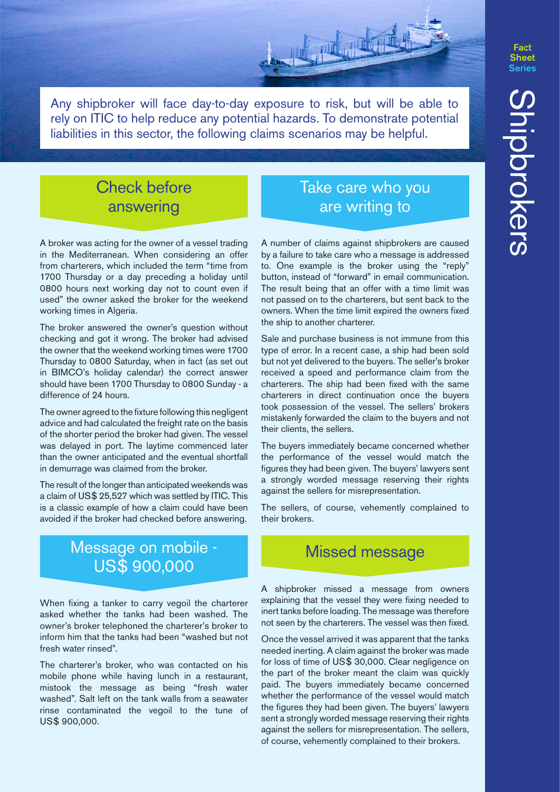Fact

Any shipbroker will face day-to-day exposure to risk, but will be able to rely on ITIC to help reduce any potential hazards. To demonstrate potential liabilities in this sector, the following claims scenarios may be helpful.

#### Check before answering

A broker was acting for the owner of a vessel trading in the Mediterranean. When considering an offer from charterers, which included the term "time from 1700 Thursday or a day preceding a holiday until 0800 hours next working day not to count even if used" the owner asked the broker for the weekend working times in Algeria.

The broker answered the owner's question without checking and got it wrong. The broker had advised the owner that the weekend working times were 1700 Thursday to 0800 Saturday, when in fact (as set out in BIMCO's holiday calendar) the correct answer should have been 1700 Thursday to 0800 Sunday - a difference of 24 hours.

The owner agreed to the fixture following this negligent advice and had calculated the freight rate on the basis of the shorter period the broker had given. The vessel was delayed in port. The laytime commenced later than the owner anticipated and the eventual shortfall in demurrage was claimed from the broker.

The result of the longer than anticipated weekends was a claim of US\$ 25,527 which was settled by ITIC. This is a classic example of how a claim could have been avoided if the broker had checked before answering.

#### Message on mobile - US\$ 900,000

When fixing a tanker to carry vegoil the charterer asked whether the tanks had been washed. The owner's broker telephoned the charterer's broker to inform him that the tanks had been "washed but not fresh water rinsed".

The charterer's broker, who was contacted on his mobile phone while having lunch in a restaurant, mistook the message as being "fresh water washed". Salt left on the tank walls from a seawater rinse contaminated the vegoil to the tune of US\$ 900,000.

#### Take care who you are writing to

A number of claims against shipbrokers are caused by a failure to take care who a message is addressed to. One example is the broker using the "reply" button, instead of "forward" in email communication. The result being that an offer with a time limit was not passed on to the charterers, but sent back to the owners. When the time limit expired the owners fixed the ship to another charterer.

Sale and purchase business is not immune from this type of error. In a recent case, a ship had been sold but not yet delivered to the buyers. The seller's broker received a speed and performance claim from the charterers. The ship had been fixed with the same charterers in direct continuation once the buyers took possession of the vessel. The sellers' brokers mistakenly forwarded the claim to the buyers and not their clients, the sellers.

The buyers immediately became concerned whether the performance of the vessel would match the figures they had been given. The buyers' lawyers sent a strongly worded message reserving their rights against the sellers for misrepresentation.

The sellers, of course, vehemently complained to their brokers.

#### Missed message

A shipbroker missed a message from owners explaining that the vessel they were fixing needed to inert tanks before loading. The message was therefore not seen by the charterers. The vessel was then fixed.

Once the vessel arrived it was apparent that the tanks needed inerting. A claim against the broker was made for loss of time of US\$ 30,000. Clear negligence on the part of the broker meant the claim was quickly paid. The buyers immediately became concerned whether the performance of the vessel would match the figures they had been given. The buyers' lawyers sent a strongly worded message reserving their rights against the sellers for misrepresentation. The sellers, of course, vehemently complained to their brokers.